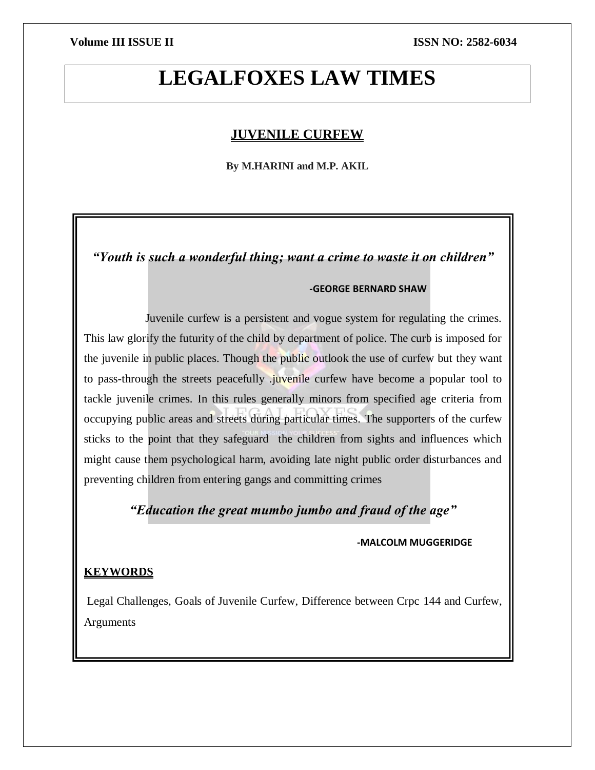### **Volume III ISSUE II ISSUE II ISSN NO:** 2582-6034

# **LEGALFOXES LAW TIMES**

## **JUVENILE CURFEW**

**By M.HARINI and M.P. AKIL**

*"Youth is such a wonderful thing; want a crime to waste it on children"*

### **-GEORGE BERNARD SHAW**

 Juvenile curfew is a persistent and vogue system for regulating the crimes. This law glorify the futurity of the child by department of police. The curb is imposed for the juvenile in public places. Though the public outlook the use of curfew but they want to pass-through the streets peacefully .juvenile curfew have become a popular tool to tackle juvenile crimes. In this rules generally minors from specified age criteria from occupying public areas and streets during particular times. The supporters of the curfew sticks to the point that they safeguard the children from sights and influences which might cause them psychological harm, avoiding late night public order disturbances and preventing children from entering gangs and committing crimes

## *"Education the great mumbo jumbo and fraud of the age"*

#### **-MALCOLM MUGGERIDGE**

### **KEYWORDS**

Legal Challenges, Goals of Juvenile Curfew, Difference between Crpc 144 and Curfew, Arguments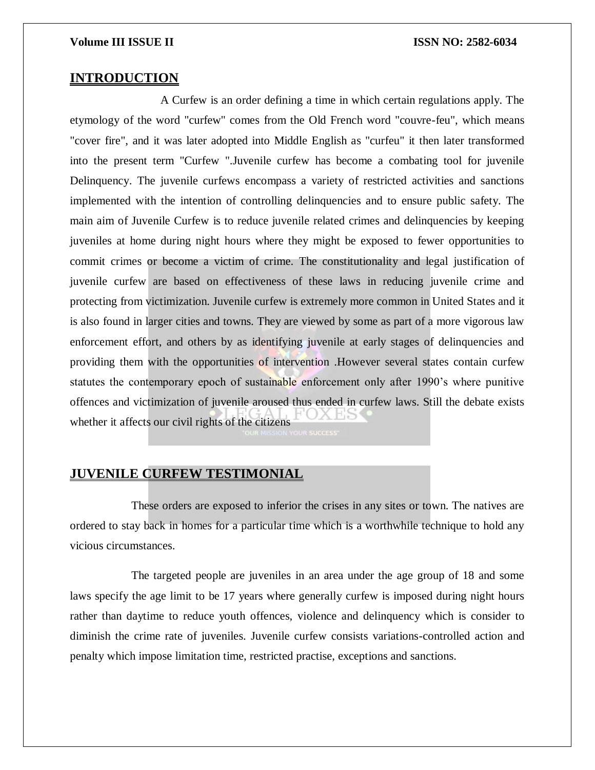#### **INTRODUCTION**

 A Curfew is an order defining a time in which certain regulations apply. The etymology of the word "curfew" comes from the Old French word "couvre-feu", which means "cover fire", and it was later adopted into Middle English as "curfeu" it then later transformed into the present term "Curfew ".Juvenile curfew has become a combating tool for juvenile Delinquency. The juvenile curfews encompass a variety of restricted activities and sanctions implemented with the intention of controlling delinquencies and to ensure public safety. The main aim of Juvenile Curfew is to reduce juvenile related crimes and delinquencies by keeping juveniles at home during night hours where they might be exposed to fewer opportunities to commit crimes or become a victim of crime. The constitutionality and legal justification of juvenile curfew are based on effectiveness of these laws in reducing juvenile crime and protecting from victimization. Juvenile curfew is extremely more common in United States and it is also found in larger cities and towns. They are viewed by some as part of a more vigorous law enforcement effort, and others by as identifying juvenile at early stages of delinquencies and providing them with the opportunities of intervention .However several states contain curfew statutes the contemporary epoch of sustainable enforcement only after 1990's where punitive offences and victimization of juvenile aroused thus ended in curfew laws. Still the debate exists whether it affects our civil rights of the citizens

### **JUVENILE CURFEW TESTIMONIAL**

 These orders are exposed to inferior the crises in any sites or town. The natives are ordered to stay back in homes for a particular time which is a worthwhile technique to hold any vicious circumstances.

 The targeted people are juveniles in an area under the age group of 18 and some laws specify the age limit to be 17 years where generally curfew is imposed during night hours rather than daytime to reduce youth offences, violence and delinquency which is consider to diminish the crime rate of juveniles. Juvenile curfew consists variations-controlled action and penalty which impose limitation time, restricted practise, exceptions and sanctions.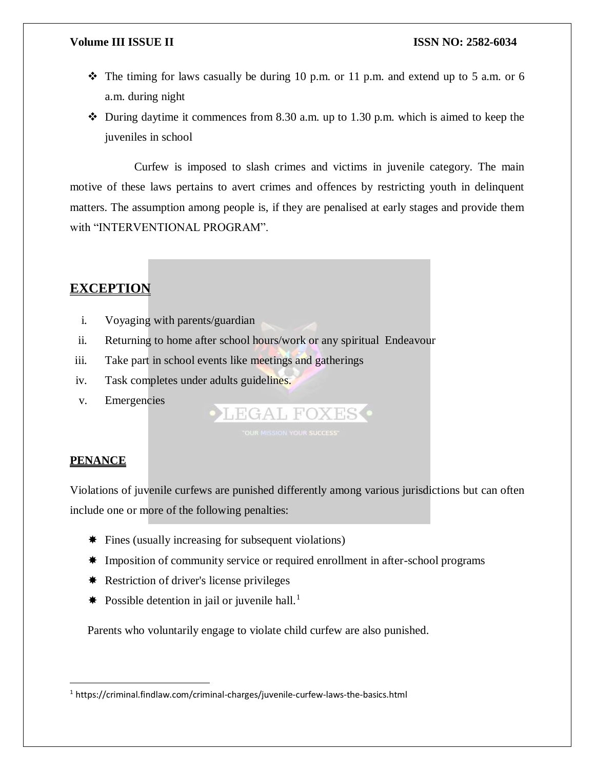- $\div$  The timing for laws casually be during 10 p.m. or 11 p.m. and extend up to 5 a.m. or 6 a.m. during night
- $\cdot$  During daytime it commences from 8.30 a.m. up to 1.30 p.m. which is aimed to keep the juveniles in school

 Curfew is imposed to slash crimes and victims in juvenile category. The main motive of these laws pertains to avert crimes and offences by restricting youth in delinquent matters. The assumption among people is, if they are penalised at early stages and provide them with "INTERVENTIONAL PROGRAM".

## **EXCEPTION**

- i. Voyaging with parents/guardian
- ii. Returning to home after school hours/work or any spiritual Endeavour
- iii. Take part in school events like meetings and gatherings
- iv. Task completes under adults guidelines.
- v. Emergencies

### **PENANCE**

 $\overline{a}$ 

Violations of juvenile curfews are punished differently among various jurisdictions but can often include one or more of the following penalties:

LEGAL FOXES<sup>.</sup>

- Fines (usually increasing for subsequent violations)
- Imposition of community service or required enrollment in after-school programs
- \* Restriction of driver's license privileges
- **\*** Possible detention in jail or juvenile hall.<sup>1</sup>

Parents who voluntarily engage to violate child curfew are also punished.

<sup>1</sup> https://criminal.findlaw.com/criminal-charges/juvenile-curfew-laws-the-basics.html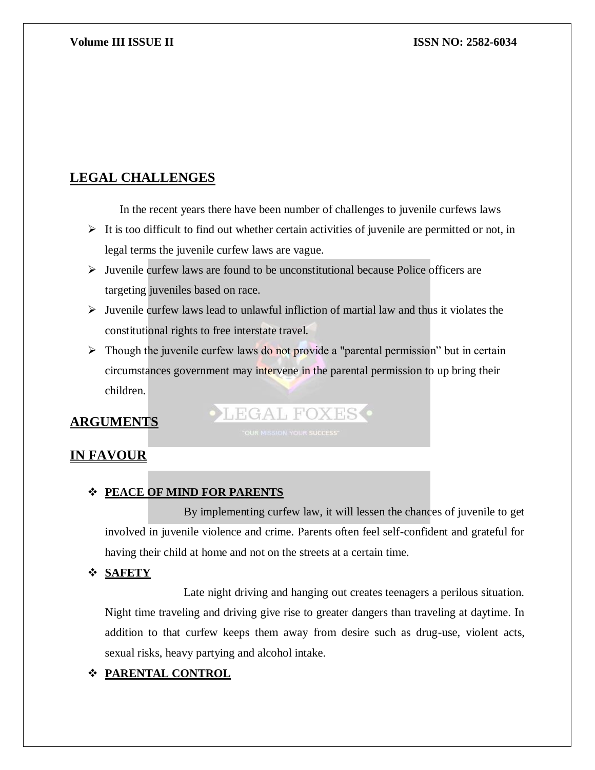## **LEGAL CHALLENGES**

In the recent years there have been number of challenges to juvenile curfews laws

- $\triangleright$  It is too difficult to find out whether certain activities of juvenile are permitted or not, in legal terms the juvenile curfew laws are vague.
- $\triangleright$  Juvenile curfew laws are found to be unconstitutional because Police officers are targeting juveniles based on race.
- $\triangleright$  Juvenile curfew laws lead to unlawful infliction of martial law and thus it violates the constitutional rights to free interstate travel.
- $\triangleright$  Though the juvenile curfew laws do not provide a "parental permission" but in certain circumstances government may intervene in the parental permission to up bring their children.

LEGAL FOXES .

## **ARGUMENTS**

## **IN FAVOUR**

## **PEACE OF MIND FOR PARENTS**

By implementing curfew law, it will lessen the chances of juvenile to get involved in juvenile violence and crime. Parents often feel self-confident and grateful for having their child at home and not on the streets at a certain time.

## **SAFETY**

 Late night driving and hanging out creates teenagers a perilous situation. Night time traveling and driving give rise to greater dangers than traveling at daytime. In addition to that curfew keeps them away from desire such as drug-use, violent acts, sexual risks, heavy partying and alcohol intake.

## **PARENTAL CONTROL**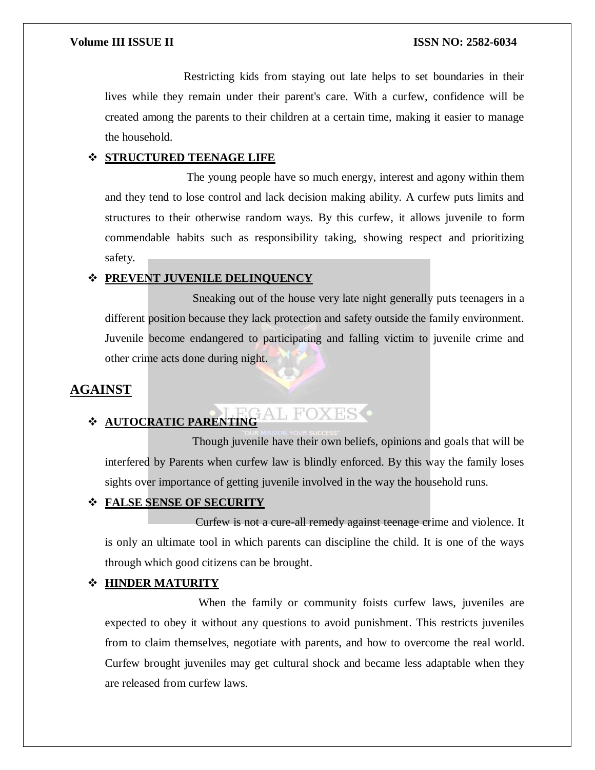Restricting kids from staying out late helps to set boundaries in their lives while they remain under their parent's care. With a curfew, confidence will be created among the parents to their children at a certain time, making it easier to manage the household.

#### **STRUCTURED TEENAGE LIFE**

 The young people have so much energy, interest and agony within them and they tend to lose control and lack decision making ability. A curfew puts limits and structures to their otherwise random ways. By this curfew, it allows juvenile to form commendable habits such as responsibility taking, showing respect and prioritizing safety.

#### **PREVENT JUVENILE DELINQUENCY**

Sneaking out of the house very late night generally puts teenagers in a different position because they lack protection and safety outside the family environment. Juvenile become endangered to participating and falling victim to juvenile crime and other crime acts done during night.

### **AGAINST**

#### L FOXESO **AUTOCRATIC PARENTING**

 Though juvenile have their own beliefs, opinions and goals that will be interfered by Parents when curfew law is blindly enforced. By this way the family loses sights over importance of getting juvenile involved in the way the household runs.

### **FALSE SENSE OF SECURITY**

 Curfew is not a cure-all remedy against teenage crime and violence. It is only an ultimate tool in which parents can discipline the child. It is one of the ways through which good citizens can be brought.

### **HINDER MATURITY**

When the family or community foists curfew laws, juveniles are expected to obey it without any questions to avoid punishment. This restricts juveniles from to claim themselves, negotiate with parents, and how to overcome the real world. Curfew brought juveniles may get cultural shock and became less adaptable when they are released from curfew laws.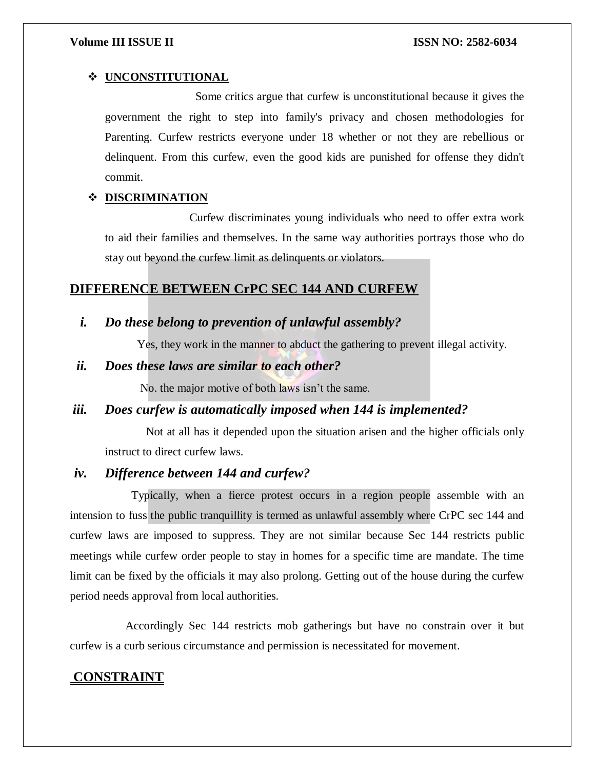#### **UNCONSTITUTIONAL**

 Some critics argue that curfew is unconstitutional because it gives the government the right to step into family's privacy and chosen methodologies for Parenting. Curfew restricts everyone under 18 whether or not they are rebellious or delinquent. From this curfew, even the good kids are punished for offense they didn't commit.

#### **DISCRIMINATION**

 Curfew discriminates young individuals who need to offer extra work to aid their families and themselves. In the same way authorities portrays those who do stay out beyond the curfew limit as delinquents or violators.

#### **DIFFERENCE BETWEEN CrPC SEC 144 AND CURFEW**

### *i. Do these belong to prevention of unlawful assembly?*

Yes, they work in the manner to abduct the gathering to prevent illegal activity.

### *ii. Does these laws are similar to each other?*

No. the major motive of both laws isn't the same.

#### *iii. Does curfew is automatically imposed when 144 is implemented?*

 Not at all has it depended upon the situation arisen and the higher officials only instruct to direct curfew laws.

#### *iv. Difference between 144 and curfew?*

 Typically, when a fierce protest occurs in a region people assemble with an intension to fuss the public tranquillity is termed as unlawful assembly where CrPC sec 144 and curfew laws are imposed to suppress. They are not similar because Sec 144 restricts public meetings while curfew order people to stay in homes for a specific time are mandate. The time limit can be fixed by the officials it may also prolong. Getting out of the house during the curfew period needs approval from local authorities.

 Accordingly Sec 144 restricts mob gatherings but have no constrain over it but curfew is a curb serious circumstance and permission is necessitated for movement.

### **CONSTRAINT**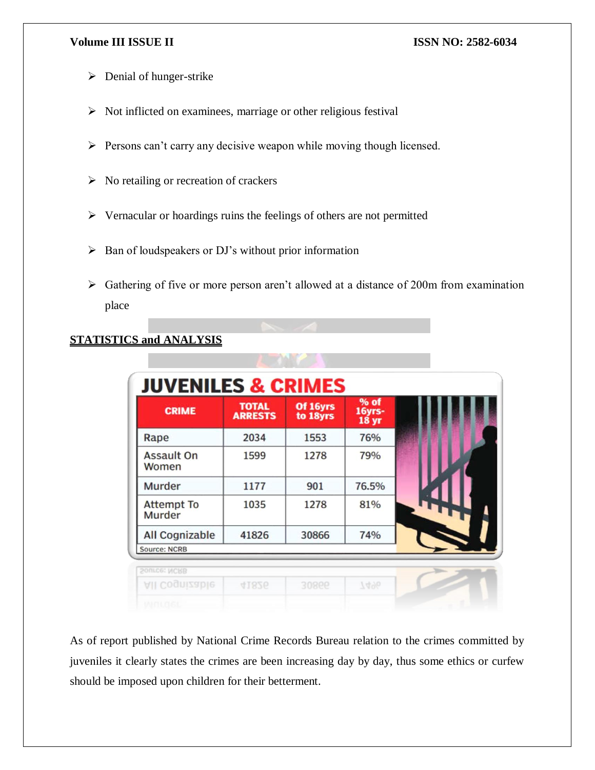### **Volume III ISSUE II ISSUE II ISSN NO:** 2582-6034

- $\triangleright$  Denial of hunger-strike
- $\triangleright$  Not inflicted on examinees, marriage or other religious festival
- $\triangleright$  Persons can't carry any decisive weapon while moving though licensed.
- $\triangleright$  No retailing or recreation of crackers
- $\triangleright$  Vernacular or hoardings ruins the feelings of others are not permitted
- $\triangleright$  Ban of loudspeakers or DJ's without prior information
- $\triangleright$  Gathering of five or more person aren't allowed at a distance of 200m from examination place

## **STATISTICS and ANALYSIS**

| <b>JUVENILES &amp; CRIMES</b> |                                |                      |                                    |  |
|-------------------------------|--------------------------------|----------------------|------------------------------------|--|
| <b>CRIME</b>                  | <b>TOTAL</b><br><b>ARRESTS</b> | Of 16yrs<br>to 18yrs | % of<br>16yrs-<br>18 <sub>yr</sub> |  |
| Rape                          | 2034                           | 1553                 | 76%                                |  |
| <b>Assault On</b><br>Women    | 1599                           | 1278                 | 79%                                |  |
| Murder                        | 1177                           | 901                  | 76.5%                              |  |
| <b>Attempt To</b><br>Murder   | 1035                           | 1278                 | 81%                                |  |
| <b>All Cognizable</b>         | 41826                          | 30866                | 74%                                |  |
| <b>Source: NCRB</b>           |                                |                      |                                    |  |
| Source: NCRB                  |                                |                      |                                    |  |
| All Cognizable                | 41826                          | 30866                | 74%                                |  |
| MITLINGL                      |                                |                      |                                    |  |

As of report published by National Crime Records Bureau relation to the crimes committed by juveniles it clearly states the crimes are been increasing day by day, thus some ethics or curfew should be imposed upon children for their betterment.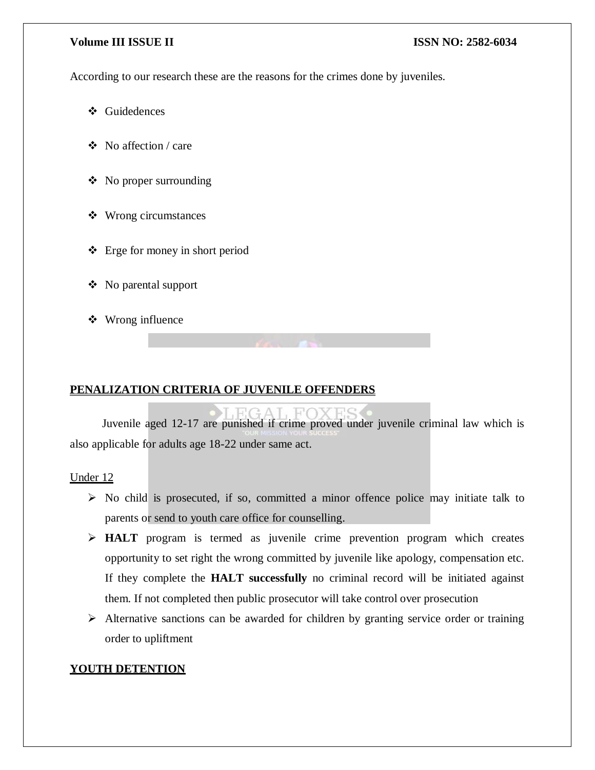According to our research these are the reasons for the crimes done by juveniles.

- Guidedences
- $\div$  No affection / care
- No proper surrounding
- Wrong circumstances
- Erge for money in short period
- No parental support
- Wrong influence

### **PENALIZATION CRITERIA OF JUVENILE OFFENDERS**

 Juvenile aged 12-17 are punished if crime proved under juvenile criminal law which is also applicable for adults age 18-22 under same act.

#### Under 12

- $\triangleright$  No child is prosecuted, if so, committed a minor offence police may initiate talk to parents or send to youth care office for counselling.
- **HALT** program is termed as juvenile crime prevention program which creates opportunity to set right the wrong committed by juvenile like apology, compensation etc. If they complete the **HALT successfully** no criminal record will be initiated against them. If not completed then public prosecutor will take control over prosecution
- $\triangleright$  Alternative sanctions can be awarded for children by granting service order or training order to upliftment

#### **YOUTH DETENTION**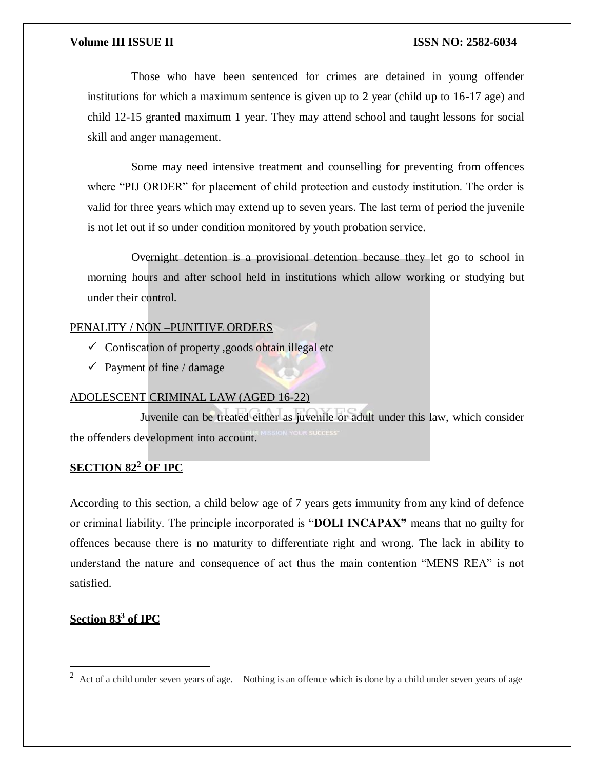Those who have been sentenced for crimes are detained in young offender institutions for which a maximum sentence is given up to 2 year (child up to 16-17 age) and child 12-15 granted maximum 1 year. They may attend school and taught lessons for social skill and anger management.

 Some may need intensive treatment and counselling for preventing from offences where "PIJ ORDER" for placement of child protection and custody institution. The order is valid for three years which may extend up to seven years. The last term of period the juvenile is not let out if so under condition monitored by youth probation service.

 Overnight detention is a provisional detention because they let go to school in morning hours and after school held in institutions which allow working or studying but under their control.

#### PENALITY / NON –PUNITIVE ORDERS

- $\checkmark$  Confiscation of property , goods obtain illegal etc
- $\checkmark$  Payment of fine / damage

#### ADOLESCENT CRIMINAL LAW (AGED 16-22)

 Juvenile can be treated either as juvenile or adult under this law, which consider the offenders development into account.

### **SECTION 82<sup>2</sup> OF IPC**

According to this section, a child below age of 7 years gets immunity from any kind of defence or criminal liability. The principle incorporated is "**DOLI INCAPAX"** means that no guilty for offences because there is no maturity to differentiate right and wrong. The lack in ability to understand the nature and consequence of act thus the main contention "MENS REA" is not satisfied.

### **Section 83<sup>3</sup> of IPC**

 $\overline{a}$ 

<sup>&</sup>lt;sup>2</sup> Act of a child under seven years of age.—Nothing is an offence which is done by a child under seven years of age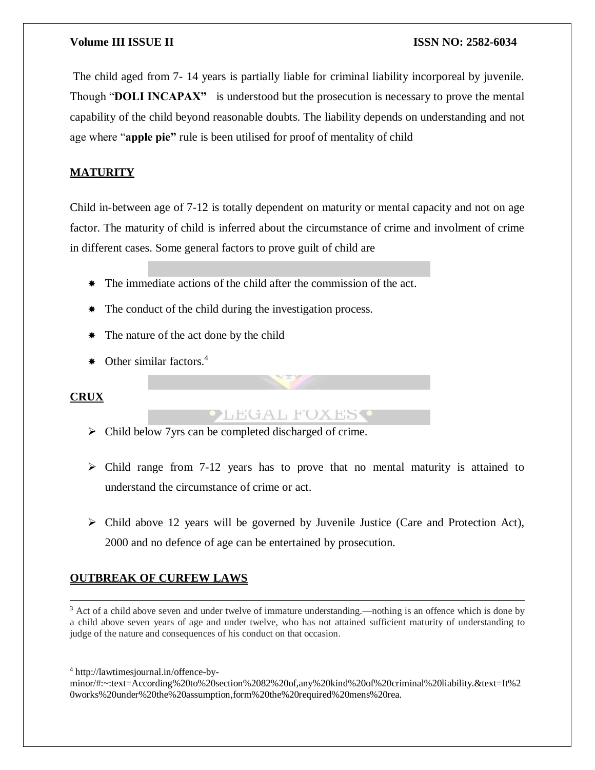### **Volume III ISSUE II ISSUE II ISSN NO:** 2582-6034

The child aged from 7- 14 years is partially liable for criminal liability incorporeal by juvenile. Though "**DOLI INCAPAX"** is understood but the prosecution is necessary to prove the mental capability of the child beyond reasonable doubts. The liability depends on understanding and not age where "**apple pie"** rule is been utilised for proof of mentality of child

### **MATURITY**

Child in-between age of 7-12 is totally dependent on maturity or mental capacity and not on age factor. The maturity of child is inferred about the circumstance of crime and involment of crime in different cases. Some general factors to prove guilt of child are

- \* The immediate actions of the child after the commission of the act.
- \* The conduct of the child during the investigation process.
- \* The nature of the act done by the child
- $\ast$  Other similar factors.<sup>4</sup>

#### **CRUX**

 $\overline{a}$ 

**PLEGAL FOXESS** 

- $\triangleright$  Child below 7 yrs can be completed discharged of crime.
- $\triangleright$  Child range from 7-12 years has to prove that no mental maturity is attained to understand the circumstance of crime or act.
- $\triangleright$  Child above 12 years will be governed by Juvenile Justice (Care and Protection Act), 2000 and no defence of age can be entertained by prosecution.

### **OUTBREAK OF CURFEW LAWS**

<sup>3</sup> Act of a child above seven and under twelve of immature understanding.—nothing is an offence which is done by a child above seven years of age and under twelve, who has not attained sufficient maturity of understanding to judge of the nature and consequences of his conduct on that occasion.

<sup>4</sup> http://lawtimesjournal.in/offence-by-

minor/#:~:text=According%20to%20section%2082%20of,any%20kind%20of%20criminal%20liability.&text=It%2 0works%20under%20the%20assumption,form%20the%20required%20mens%20rea.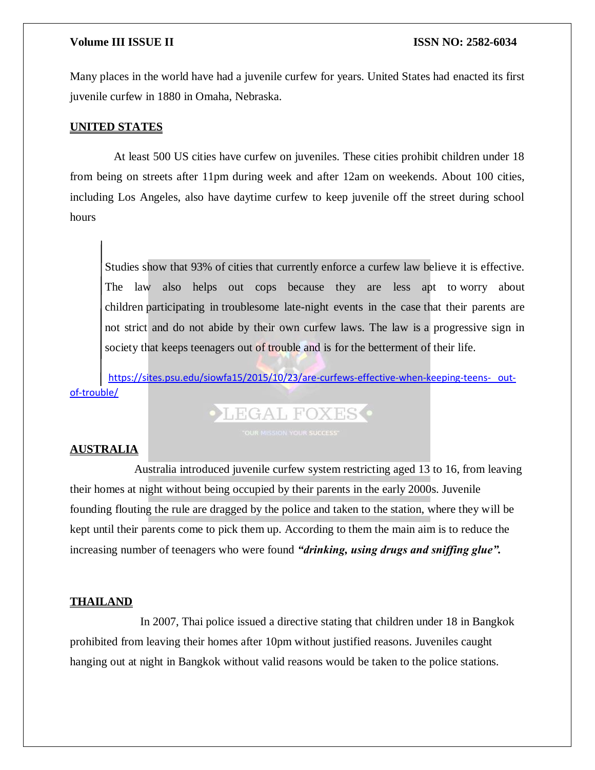Many places in the world have had a juvenile curfew for years. United States had enacted its first juvenile curfew in 1880 in Omaha, Nebraska.

#### **UNITED STATES**

 At least 500 US cities have curfew on juveniles. These cities prohibit children under 18 from being on streets after 11pm during week and after 12am on weekends. About 100 cities, including Los Angeles, also have daytime curfew to keep juvenile off the street during school hours

Studies show that 93% of cities that currently enforce a curfew law believe it is effective. The law also helps out cops because they are less apt to worry about children participating in troublesome late-night events in the case that their parents are not strict and do not abide by their own curfew laws. The law is a progressive sign in society that keeps teenagers out of trouble and is for the betterment of their life.

 [https://sites.psu.edu/siowfa15/2015/10/23/are-curfews-effective-when-keeping-teens- out](https://sites.psu.edu/siowfa15/2015/10/23/are-curfews-effective-when-keeping-teens-%20%20%20out-of-trouble/)[of-trouble/](https://sites.psu.edu/siowfa15/2015/10/23/are-curfews-effective-when-keeping-teens-%20%20%20out-of-trouble/)

## LEGAL FOXES .

#### **AUSTRALIA**

 Australia introduced juvenile curfew system restricting aged 13 to 16, from leaving their homes at night without being occupied by their parents in the early 2000s. Juvenile founding flouting the rule are dragged by the police and taken to the station, where they will be kept until their parents come to pick them up. According to them the main aim is to reduce the increasing number of teenagers who were found *"drinking, using drugs and sniffing glue".*

#### **THAILAND**

 In 2007, Thai police issued a directive stating that children under 18 in Bangkok prohibited from leaving their homes after 10pm without justified reasons. Juveniles caught hanging out at night in Bangkok without valid reasons would be taken to the police stations.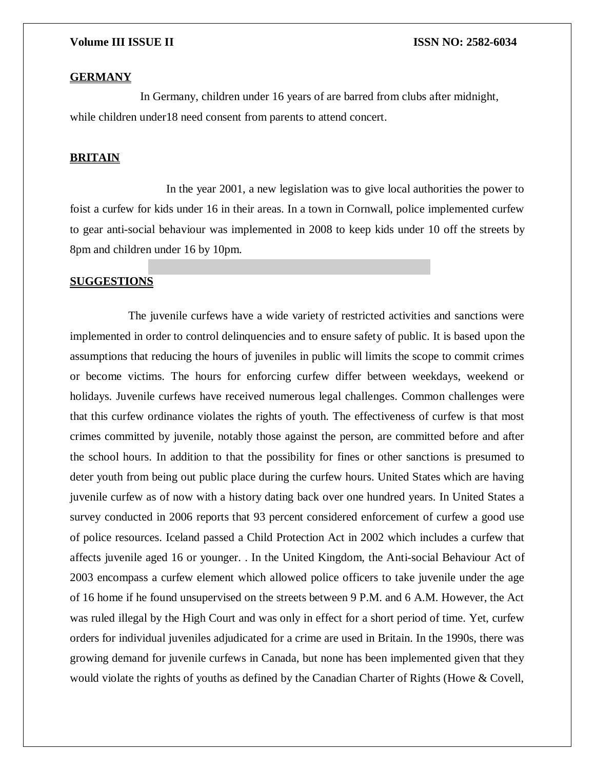#### **GERMANY**

 In Germany, children under 16 years of are barred from clubs after midnight, while children under18 need consent from parents to attend concert.

#### **BRITAIN**

 In the year 2001, a new legislation was to give local authorities the power to foist a curfew for kids under 16 in their areas. In a town in Cornwall, police implemented curfew to gear anti-social behaviour was implemented in 2008 to keep kids under 10 off the streets by 8pm and children under 16 by 10pm.

#### **SUGGESTIONS**

 The juvenile curfews have a wide variety of restricted activities and sanctions were implemented in order to control delinquencies and to ensure safety of public. It is based upon the assumptions that reducing the hours of juveniles in public will limits the scope to commit crimes or become victims. The hours for enforcing curfew differ between weekdays, weekend or holidays. Juvenile curfews have received numerous legal challenges. Common challenges were that this curfew ordinance violates the rights of youth. The effectiveness of curfew is that most crimes committed by juvenile, notably those against the person, are committed before and after the school hours. In addition to that the possibility for fines or other sanctions is presumed to deter youth from being out public place during the curfew hours. United States which are having juvenile curfew as of now with a history dating back over one hundred years. In United States a survey conducted in 2006 reports that 93 percent considered enforcement of curfew a good use of police resources. Iceland passed a Child Protection Act in 2002 which includes a curfew that affects juvenile aged 16 or younger. . In the United Kingdom, the Anti-social Behaviour Act of 2003 encompass a curfew element which allowed police officers to take juvenile under the age of 16 home if he found unsupervised on the streets between 9 P.M. and 6 A.M. However, the Act was ruled illegal by the High Court and was only in effect for a short period of time. Yet, curfew orders for individual juveniles adjudicated for a crime are used in Britain. In the 1990s, there was growing demand for juvenile curfews in Canada, but none has been implemented given that they would violate the rights of youths as defined by the Canadian Charter of Rights (Howe & Covell,